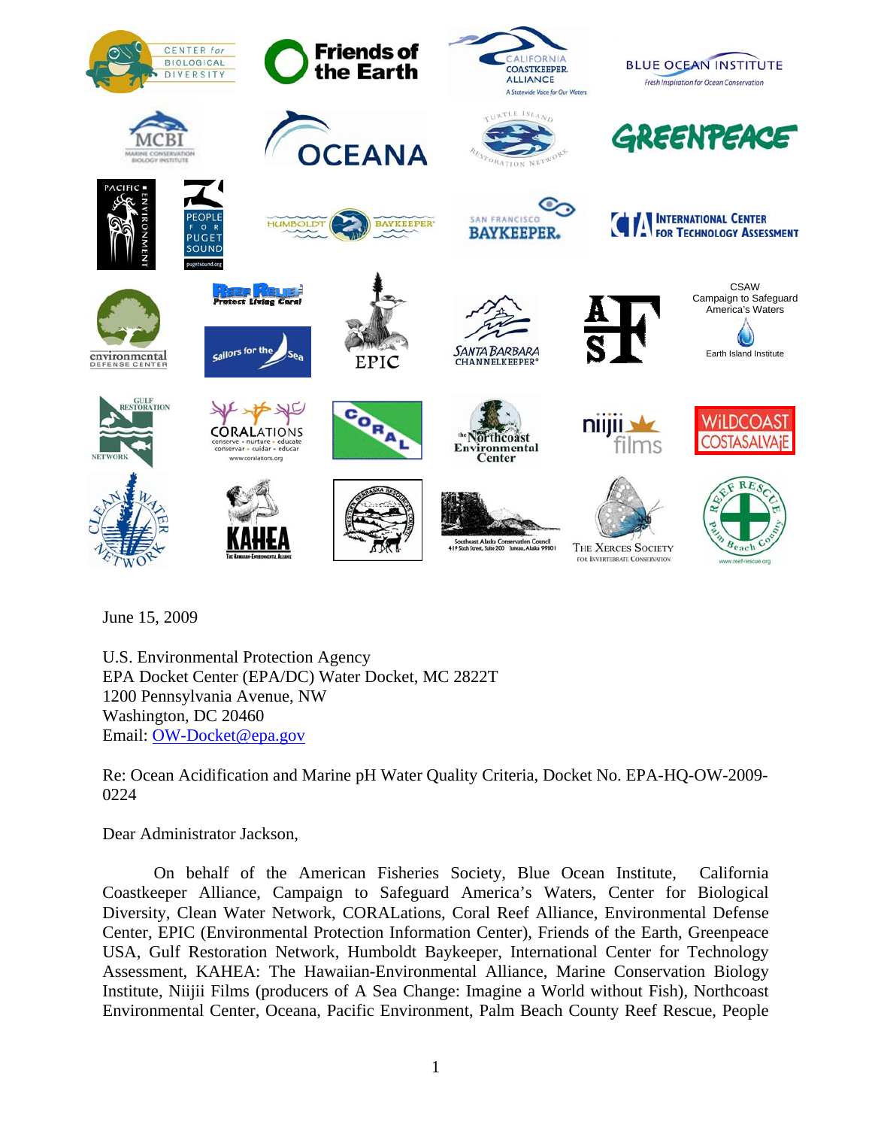

June 15, 2009

U.S. Environmental Protection Agency EPA Docket Center (EPA/DC) Water Docket, MC 2822T 1200 Pennsylvania Avenue, NW Washington, DC 20460 Email: OW-Docket@epa.gov

Re: Ocean Acidification and Marine pH Water Quality Criteria, Docket No. EPA-HQ-OW-2009- 0224

Dear Administrator Jackson,

On behalf of the American Fisheries Society, Blue Ocean Institute, California Coastkeeper Alliance, Campaign to Safeguard America's Waters, Center for Biological Diversity, Clean Water Network, CORALations, Coral Reef Alliance, Environmental Defense Center, EPIC (Environmental Protection Information Center), Friends of the Earth, Greenpeace USA, Gulf Restoration Network, Humboldt Baykeeper, International Center for Technology Assessment, KAHEA: The Hawaiian-Environmental Alliance, Marine Conservation Biology Institute, Niijii Films (producers of A Sea Change: Imagine a World without Fish), Northcoast Environmental Center, Oceana, Pacific Environment, Palm Beach County Reef Rescue, People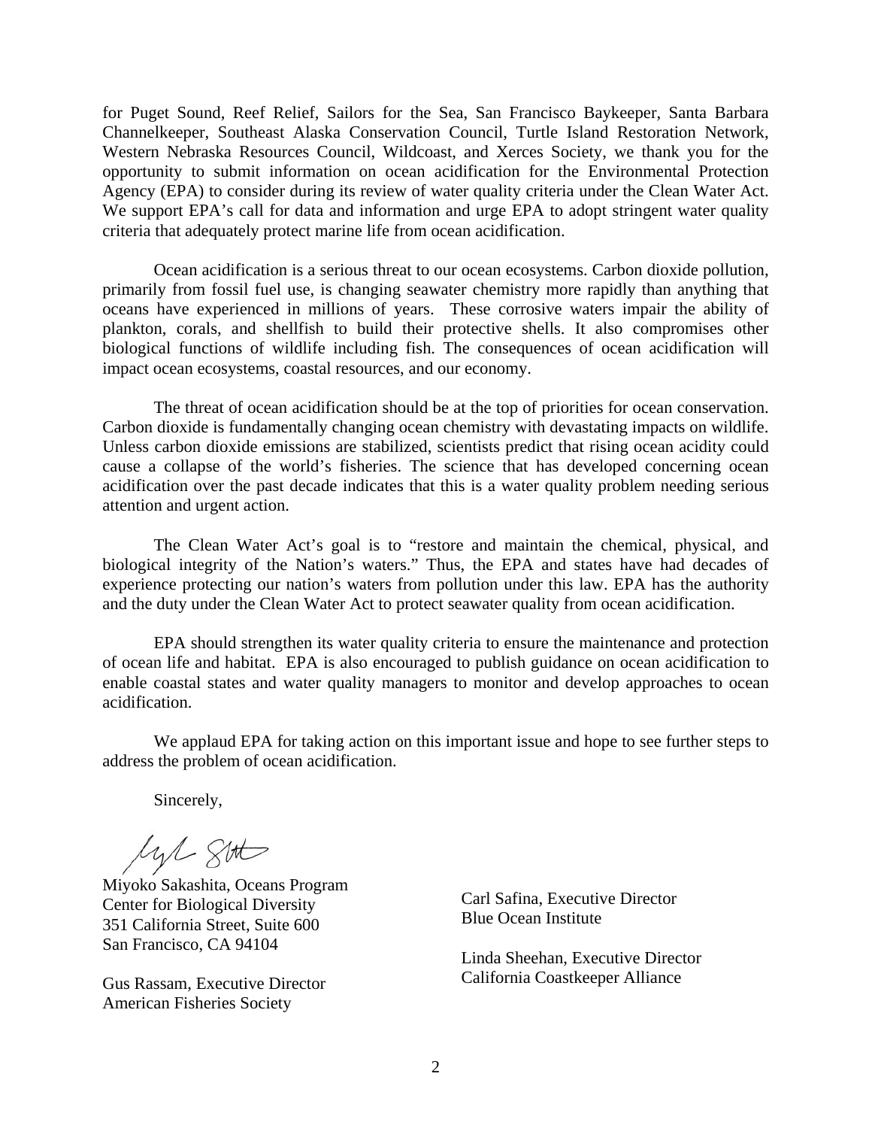for Puget Sound, Reef Relief, Sailors for the Sea, San Francisco Baykeeper, Santa Barbara Channelkeeper, Southeast Alaska Conservation Council, Turtle Island Restoration Network, Western Nebraska Resources Council, Wildcoast, and Xerces Society, we thank you for the opportunity to submit information on ocean acidification for the Environmental Protection Agency (EPA) to consider during its review of water quality criteria under the Clean Water Act. We support EPA's call for data and information and urge EPA to adopt stringent water quality criteria that adequately protect marine life from ocean acidification.

Ocean acidification is a serious threat to our ocean ecosystems. Carbon dioxide pollution, primarily from fossil fuel use, is changing seawater chemistry more rapidly than anything that oceans have experienced in millions of years. These corrosive waters impair the ability of plankton, corals, and shellfish to build their protective shells. It also compromises other biological functions of wildlife including fish. The consequences of ocean acidification will impact ocean ecosystems, coastal resources, and our economy.

The threat of ocean acidification should be at the top of priorities for ocean conservation. Carbon dioxide is fundamentally changing ocean chemistry with devastating impacts on wildlife. Unless carbon dioxide emissions are stabilized, scientists predict that rising ocean acidity could cause a collapse of the world's fisheries. The science that has developed concerning ocean acidification over the past decade indicates that this is a water quality problem needing serious attention and urgent action.

The Clean Water Act's goal is to "restore and maintain the chemical, physical, and biological integrity of the Nation's waters." Thus, the EPA and states have had decades of experience protecting our nation's waters from pollution under this law. EPA has the authority and the duty under the Clean Water Act to protect seawater quality from ocean acidification.

EPA should strengthen its water quality criteria to ensure the maintenance and protection of ocean life and habitat. EPA is also encouraged to publish guidance on ocean acidification to enable coastal states and water quality managers to monitor and develop approaches to ocean acidification.

We applaud EPA for taking action on this important issue and hope to see further steps to address the problem of ocean acidification.

Sincerely,

lyl 8th

Miyoko Sakashita, Oceans Program Center for Biological Diversity 351 California Street, Suite 600 San Francisco, CA 94104

Gus Rassam, Executive Director American Fisheries Society

Carl Safina, Executive Director Blue Ocean Institute

Linda Sheehan, Executive Director California Coastkeeper Alliance